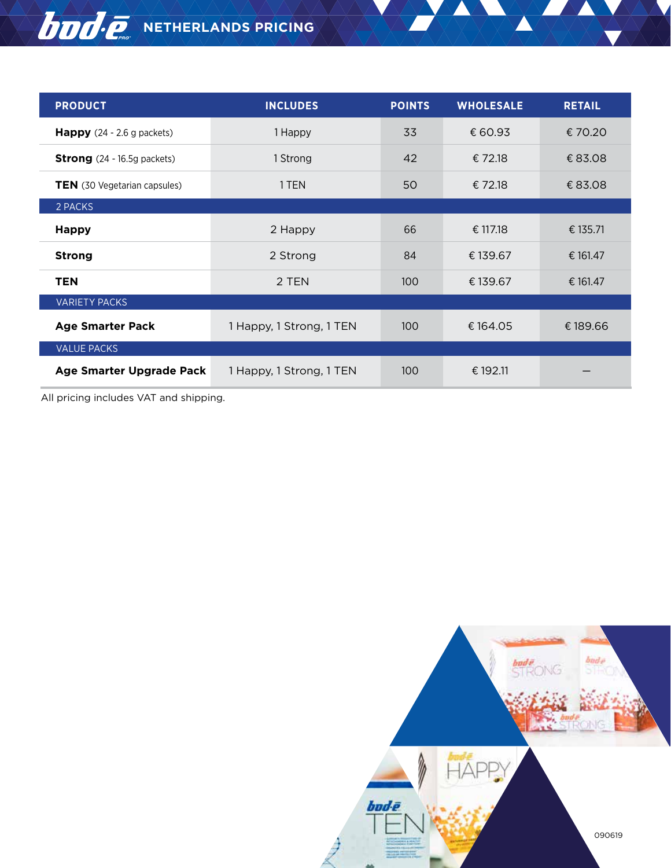# $\overline{\textbf{b}}$  $\overline{\textbf{b}}$  $\overline{\textbf{c}}$ , NETHERLANDS PRICING

| <b>PRODUCT</b>                       | <b>INCLUDES</b>          | <b>POINTS</b> | <b>WHOLESALE</b> | <b>RETAIL</b> |
|--------------------------------------|--------------------------|---------------|------------------|---------------|
| <b>Happy</b> $(24 - 2.6$ g packets)  | 1 Happy                  | 33            | € 60.93          | € 70.20       |
| <b>Strong</b> $(24 - 16.5g$ packets) | 1 Strong                 | 42            | € 72.18          | € 83.08       |
| <b>TEN</b> (30 Vegetarian capsules)  | 1 TEN                    | 50            | € 72.18          | € 83.08       |
| 2 PACKS                              |                          |               |                  |               |
| <b>Happy</b>                         | 2 Happy                  | 66            | € 117.18         | € 135.71      |
| <b>Strong</b>                        | 2 Strong                 | 84            | € 139.67         | € 161.47      |
| <b>TEN</b>                           | 2 TEN                    | 100           | € 139.67         | € 161.47      |
| <b>VARIETY PACKS</b>                 |                          |               |                  |               |
| <b>Age Smarter Pack</b>              | 1 Happy, 1 Strong, 1 TEN | 100           | €164.05          | € 189.66      |
| <b>VALUE PACKS</b>                   |                          |               |                  |               |
| Age Smarter Upgrade Pack             | 1 Happy, 1 Strong, 1 TEN | 100           | € 192.11         |               |

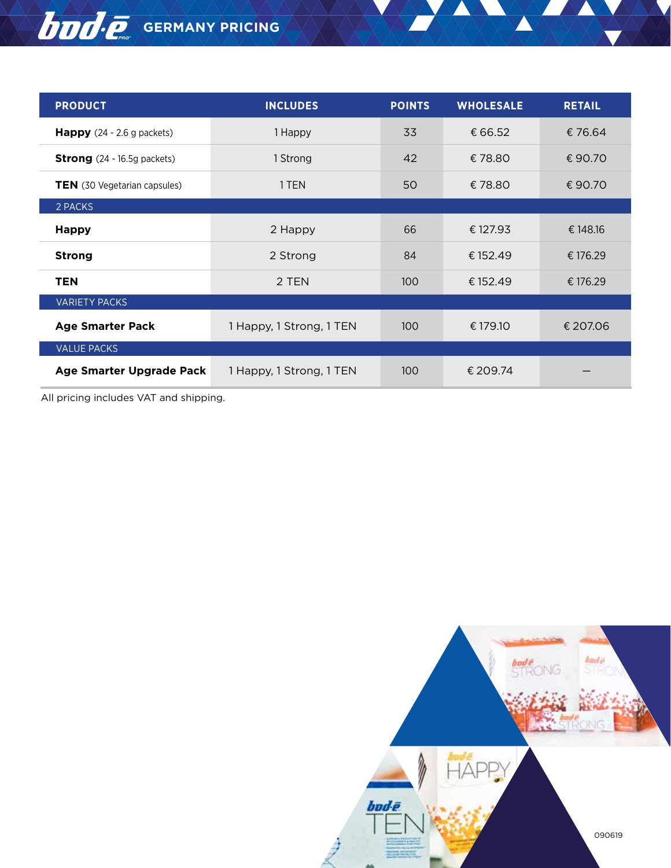## **GERMANY PRICING**

| <b>PRODUCT</b>                       | <b>INCLUDES</b>          | <b>POINTS</b> | <b>WHOLESALE</b> | <b>RETAIL</b> |
|--------------------------------------|--------------------------|---------------|------------------|---------------|
| <b>Happy</b> $(24 - 2.6$ g packets)  | 1 Happy                  | 33            | € 66.52          | € 76.64       |
| <b>Strong</b> $(24 - 16.5g$ packets) | 1 Strong                 | 42            | €78.80           | €90.70        |
| <b>TEN</b> (30 Vegetarian capsules)  | 1 TEN                    | 50            | €78.80           | €90.70        |
| 2 PACKS                              |                          |               |                  |               |
| <b>Happy</b>                         | 2 Happy                  | 66            | € 127.93         | € 148.16      |
| <b>Strong</b>                        | 2 Strong                 | 84            | € 152.49         | € 176.29      |
| <b>TEN</b>                           | 2 TEN                    | 100           | € 152.49         | € 176.29      |
| <b>VARIETY PACKS</b>                 |                          |               |                  |               |
| <b>Age Smarter Pack</b>              | 1 Happy, 1 Strong, 1 TEN | 100           | € 179.10         | € 207.06      |
| <b>VALUE PACKS</b>                   |                          |               |                  |               |
| Age Smarter Upgrade Pack             | 1 Happy, 1 Strong, 1 TEN | 100           | € 209.74         |               |

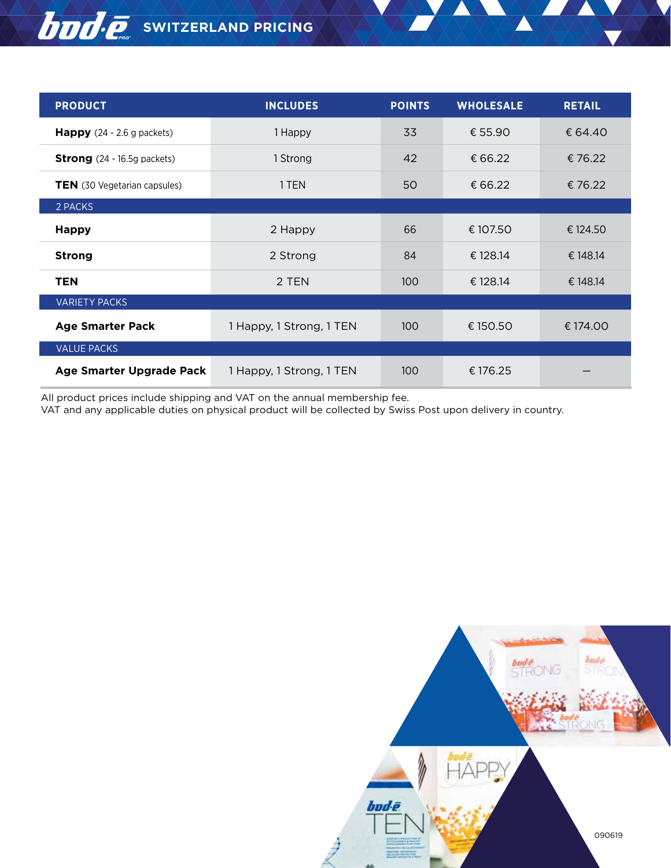#### **BUDO C.** SWITZERLAND PRICING

| <b>PRODUCT</b>                       | <b>INCLUDES</b>          | <b>POINTS</b> | <b>WHOLESALE</b> | <b>RETAIL</b> |
|--------------------------------------|--------------------------|---------------|------------------|---------------|
| <b>Happy</b> $(24 - 2.6$ g packets)  | 1 Happy                  | 33            | € 55.90          | € 64.40       |
| <b>Strong</b> $(24 - 16.5g$ packets) | 1 Strong                 | 42            | € 66.22          | €76.22        |
| <b>TEN</b> (30 Vegetarian capsules)  | 1 TEN                    | 50            | € 66.22          | €76.22        |
| 2 PACKS                              |                          |               |                  |               |
| <b>Happy</b>                         | 2 Happy                  | 66            | € 107.50         | € 124.50      |
| <b>Strong</b>                        | 2 Strong                 | 84            | € 128.14         | € 148.14      |
| <b>TEN</b>                           | 2 TEN                    | 100           | € 128.14         | € 148.14      |
| <b>VARIETY PACKS</b>                 |                          |               |                  |               |
| <b>Age Smarter Pack</b>              | 1 Happy, 1 Strong, 1 TEN | 100           | € 150.50         | € 174.00      |
| <b>VALUE PACKS</b>                   |                          |               |                  |               |
| Age Smarter Upgrade Pack             | 1 Happy, 1 Strong, 1 TEN | 100           | €176.25          |               |

All product prices include shipping and VAT on the annual membership fee.

VAT and any applicable duties on physical product will be collected by Swiss Post upon delivery in country.

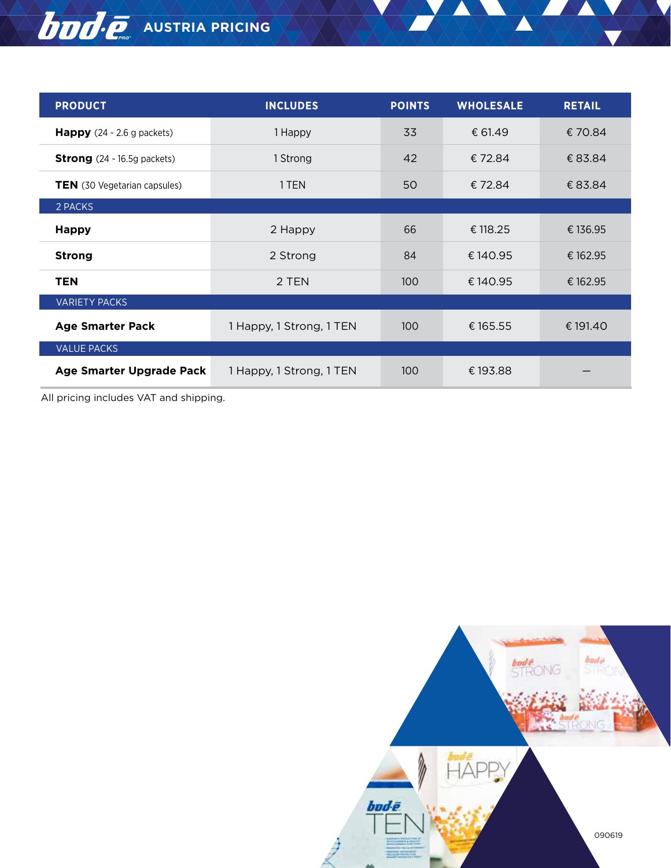# **AUSTRIA PRICING**

| <b>PRODUCT</b>                       | <b>INCLUDES</b>          | <b>POINTS</b> | <b>WHOLESALE</b> | <b>RETAIL</b> |
|--------------------------------------|--------------------------|---------------|------------------|---------------|
| <b>Happy</b> $(24 - 2.6$ g packets)  | 1 Happy                  | 33            | € 61.49          | €70.84        |
| <b>Strong</b> $(24 - 16.5g$ packets) | 1 Strong                 | 42            | €72.84           | € 83.84       |
| <b>TEN</b> (30 Vegetarian capsules)  | 1 TEN                    | 50            | €72.84           | € 83.84       |
| 2 PACKS                              |                          |               |                  |               |
| <b>Happy</b>                         | 2 Happy                  | 66            | € 118.25         | € 136.95      |
| <b>Strong</b>                        | 2 Strong                 | 84            | €140.95          | € 162.95      |
| <b>TEN</b>                           | 2 TEN                    | 100           | €140.95          | € 162.95      |
| <b>VARIETY PACKS</b>                 |                          |               |                  |               |
| <b>Age Smarter Pack</b>              | 1 Happy, 1 Strong, 1 TEN | 100           | € 165.55         | € 191.40      |
| <b>VALUE PACKS</b>                   |                          |               |                  |               |
| Age Smarter Upgrade Pack             | 1 Happy, 1 Strong, 1 TEN | 100           | € 193.88         |               |

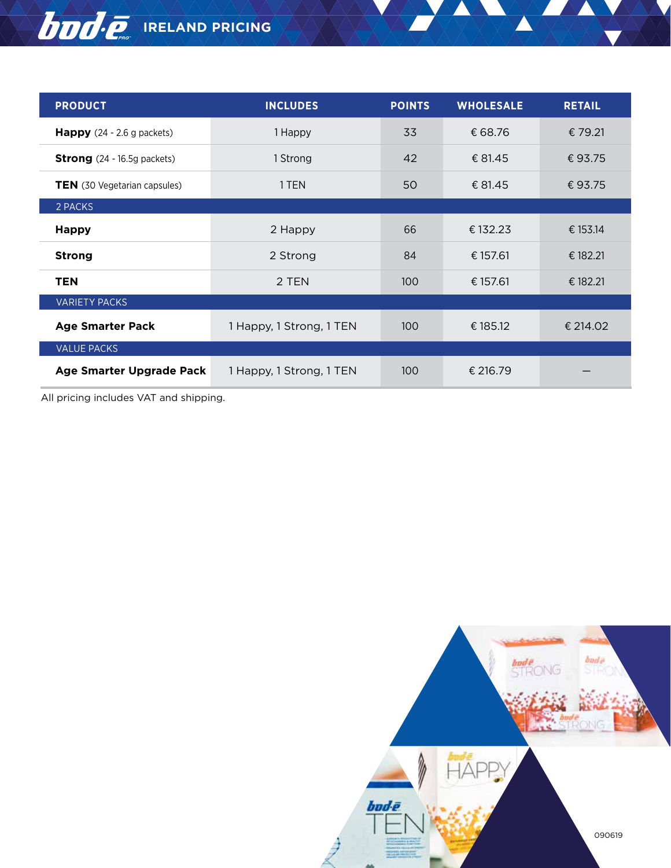# **IBUO** C<sub>ong</sub> IRELAND PRICING

| <b>PRODUCT</b>                       | <b>INCLUDES</b>          | <b>POINTS</b> | <b>WHOLESALE</b> | <b>RETAIL</b> |
|--------------------------------------|--------------------------|---------------|------------------|---------------|
| <b>Happy</b> $(24 - 2.6$ g packets)  | 1 Happy                  | 33            | € 68.76          | € 79.21       |
| <b>Strong</b> $(24 - 16.5g$ packets) | 1 Strong                 | 42            | € 81.45          | €93.75        |
| <b>TEN</b> (30 Vegetarian capsules)  | 1 TEN                    | 50            | € 81.45          | € 93.75       |
| 2 PACKS                              |                          |               |                  |               |
| <b>Happy</b>                         | 2 Happy                  | 66            | € 132.23         | € 153.14      |
| <b>Strong</b>                        | 2 Strong                 | 84            | € 157.61         | € 182.21      |
| <b>TEN</b>                           | 2 TEN                    | 100           | € 157.61         | € 182.21      |
| <b>VARIETY PACKS</b>                 |                          |               |                  |               |
| <b>Age Smarter Pack</b>              | 1 Happy, 1 Strong, 1 TEN | 100           | € 185.12         | € 214.02      |
| <b>VALUE PACKS</b>                   |                          |               |                  |               |
| Age Smarter Upgrade Pack             | 1 Happy, 1 Strong, 1 TEN | 100           | € 216.79         |               |

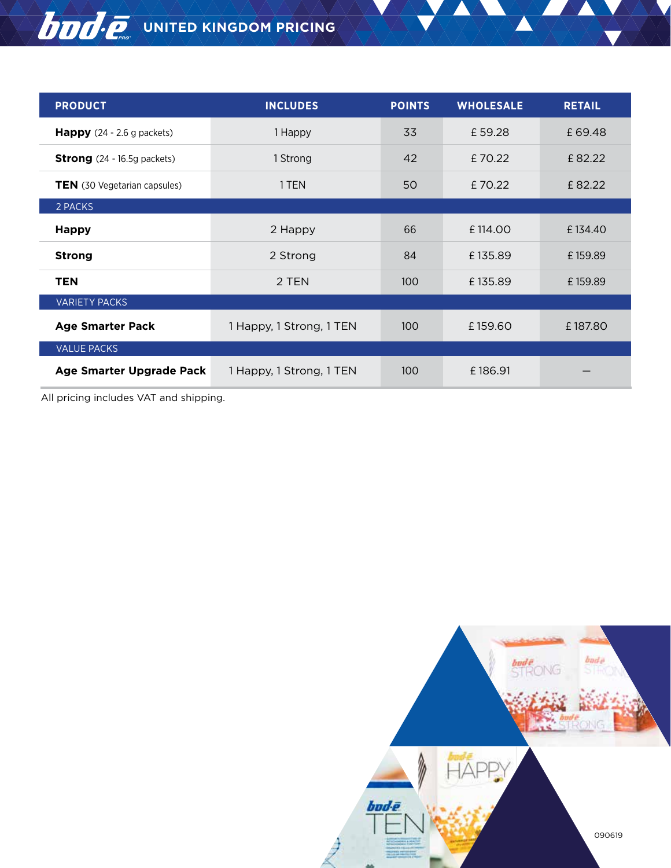# **UNITED KINGDOM PRICING**

| <b>PRODUCT</b>                       | <b>INCLUDES</b>          | <b>POINTS</b> | <b>WHOLESALE</b> | <b>RETAIL</b> |
|--------------------------------------|--------------------------|---------------|------------------|---------------|
| <b>Happy</b> $(24 - 2.6$ g packets)  | 1 Happy                  | 33            | £59.28           | £69.48        |
| <b>Strong</b> $(24 - 16.5g$ packets) | 1 Strong                 | 42            | £70.22           | £82.22        |
| TEN (30 Vegetarian capsules)         | 1 TEN                    | 50            | £70.22           | £82.22        |
| 2 PACKS                              |                          |               |                  |               |
| <b>Happy</b>                         | 2 Happy                  | 66            | £114.00          | £134.40       |
| <b>Strong</b>                        | 2 Strong                 | 84            | £135.89          | £159.89       |
| <b>TEN</b>                           | 2 TEN                    | 100           | £135.89          | £159.89       |
| <b>VARIETY PACKS</b>                 |                          |               |                  |               |
| <b>Age Smarter Pack</b>              | 1 Happy, 1 Strong, 1 TEN | 100           | £159.60          | £187.80       |
| <b>VALUE PACKS</b>                   |                          |               |                  |               |
| Age Smarter Upgrade Pack             | 1 Happy, 1 Strong, 1 TEN | 100           | £186.91          |               |

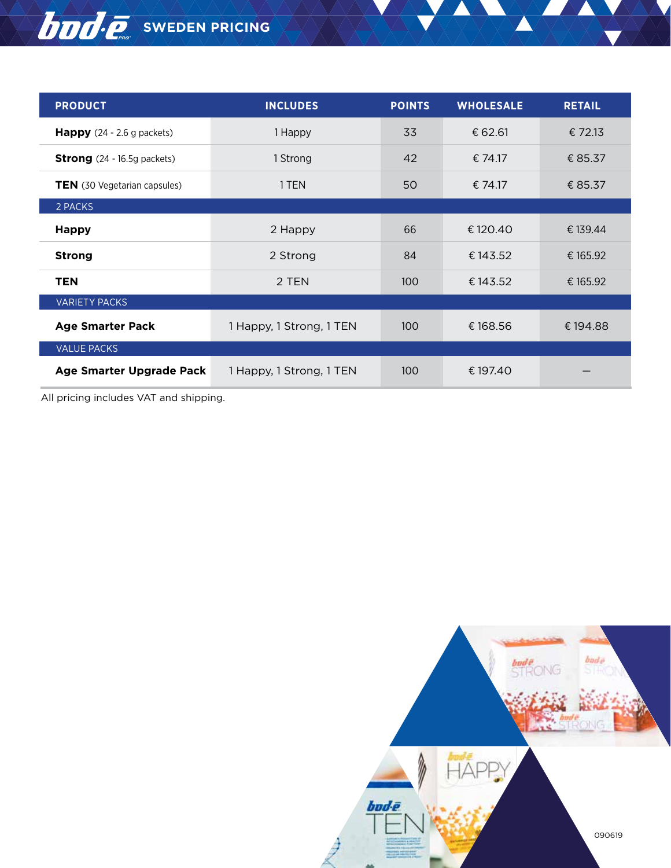#### **BOO.** SWEDEN PRICING

| <b>PRODUCT</b>                       | <b>INCLUDES</b>          | <b>POINTS</b> | <b>WHOLESALE</b> | <b>RETAIL</b> |
|--------------------------------------|--------------------------|---------------|------------------|---------------|
| <b>Happy</b> $(24 - 2.6$ g packets)  | 1 Happy                  | 33            | € 62.61          | € 72.13       |
| <b>Strong</b> $(24 - 16.5g$ packets) | 1 Strong                 | 42            | € 74.17          | € 85.37       |
| <b>TEN</b> (30 Vegetarian capsules)  | 1 TEN                    | 50            | € 74.17          | € 85.37       |
| 2 PACKS                              |                          |               |                  |               |
| <b>Happy</b>                         | 2 Happy                  | 66            | € 120.40         | € 139.44      |
| <b>Strong</b>                        | 2 Strong                 | 84            | € 143.52         | € 165.92      |
| <b>TEN</b>                           | 2 TEN                    | 100           | € 143.52         | € 165.92      |
| <b>VARIETY PACKS</b>                 |                          |               |                  |               |
| <b>Age Smarter Pack</b>              | 1 Happy, 1 Strong, 1 TEN | 100           | €168.56          | € 194.88      |
| <b>VALUE PACKS</b>                   |                          |               |                  |               |
| Age Smarter Upgrade Pack             | 1 Happy, 1 Strong, 1 TEN | 100           | € 197.40         |               |

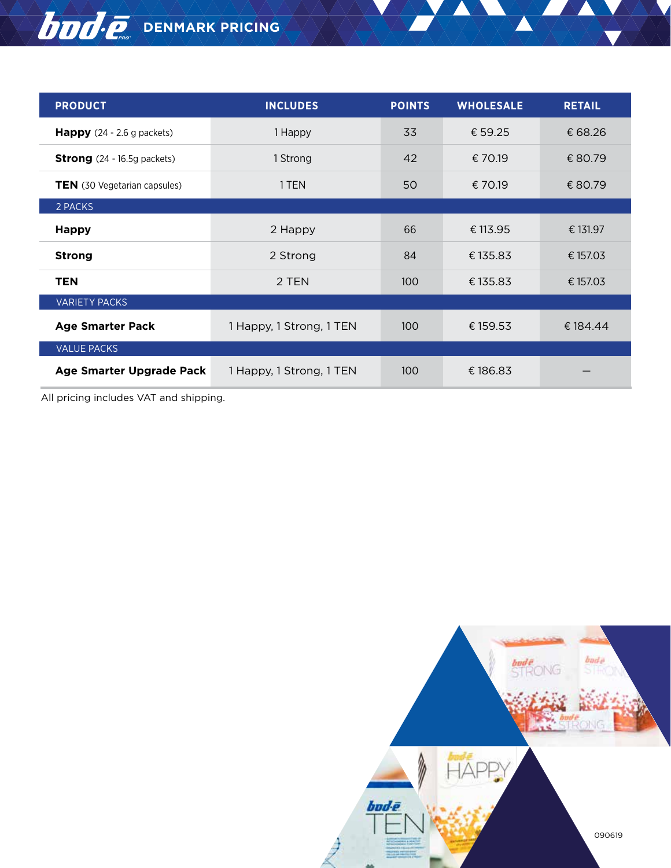## **DOO.** DENMARK PRICING

| <b>PRODUCT</b>                       | <b>INCLUDES</b>          | <b>POINTS</b> | <b>WHOLESALE</b> | <b>RETAIL</b> |
|--------------------------------------|--------------------------|---------------|------------------|---------------|
| <b>Happy</b> $(24 - 2.6$ g packets)  | 1 Happy                  | 33            | € 59.25          | € 68.26       |
| <b>Strong</b> $(24 - 16.5g$ packets) | 1 Strong                 | 42            | € 70.19          | € 80.79       |
| <b>TEN</b> (30 Vegetarian capsules)  | 1 TEN                    | 50            | € 70.19          | € 80.79       |
| 2 PACKS                              |                          |               |                  |               |
| <b>Happy</b>                         | 2 Happy                  | 66            | € 113.95         | € 131.97      |
| <b>Strong</b>                        | 2 Strong                 | 84            | €135.83          | € 157.03      |
| <b>TEN</b>                           | 2 TEN                    | 100           | €135.83          | € 157.03      |
| <b>VARIETY PACKS</b>                 |                          |               |                  |               |
| <b>Age Smarter Pack</b>              | 1 Happy, 1 Strong, 1 TEN | 100           | € 159.53         | € 184.44      |
| <b>VALUE PACKS</b>                   |                          |               |                  |               |
| Age Smarter Upgrade Pack             | 1 Happy, 1 Strong, 1 TEN | 100           | €186.83          |               |

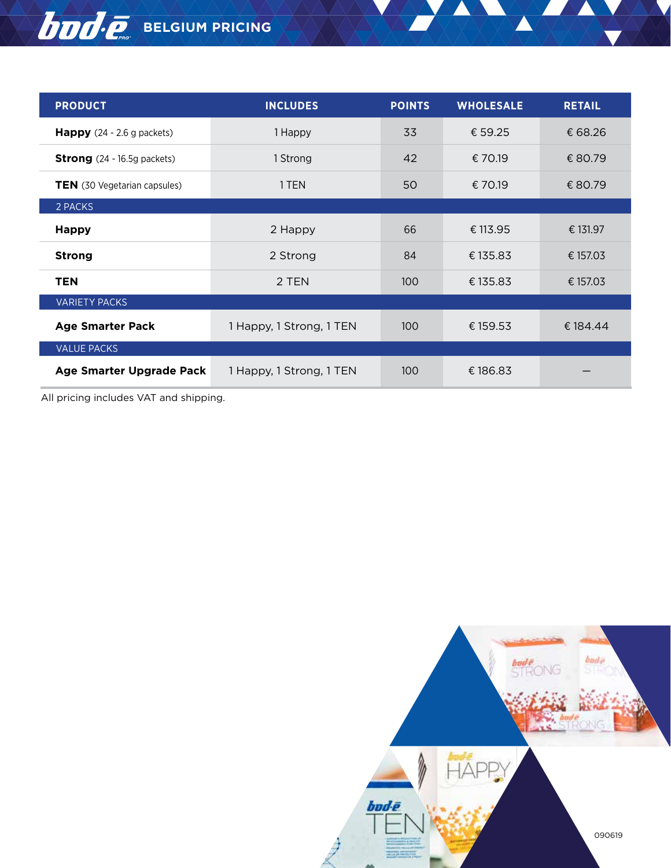#### **BELGIUM PRICING**

| <b>PRODUCT</b>                       | <b>INCLUDES</b>          | <b>POINTS</b> | <b>WHOLESALE</b> | <b>RETAIL</b> |
|--------------------------------------|--------------------------|---------------|------------------|---------------|
| <b>Happy</b> $(24 - 2.6$ g packets)  | 1 Happy                  | 33            | € 59.25          | € 68.26       |
| <b>Strong</b> $(24 - 16.5g$ packets) | 1 Strong                 | 42            | € 70.19          | € 80.79       |
| <b>TEN</b> (30 Vegetarian capsules)  | 1 TEN                    | 50            | € 70.19          | € 80.79       |
| 2 PACKS                              |                          |               |                  |               |
| <b>Happy</b>                         | 2 Happy                  | 66            | € 113.95         | € 131.97      |
| <b>Strong</b>                        | 2 Strong                 | 84            | € 135.83         | € 157.03      |
| <b>TEN</b>                           | 2 TEN                    | 100           | € 135.83         | € 157.03      |
| <b>VARIETY PACKS</b>                 |                          |               |                  |               |
| <b>Age Smarter Pack</b>              | 1 Happy, 1 Strong, 1 TEN | 100           | € 159.53         | € 184.44      |
| <b>VALUE PACKS</b>                   |                          |               |                  |               |
| Age Smarter Upgrade Pack             | 1 Happy, 1 Strong, 1 TEN | 100           | €186.83          |               |